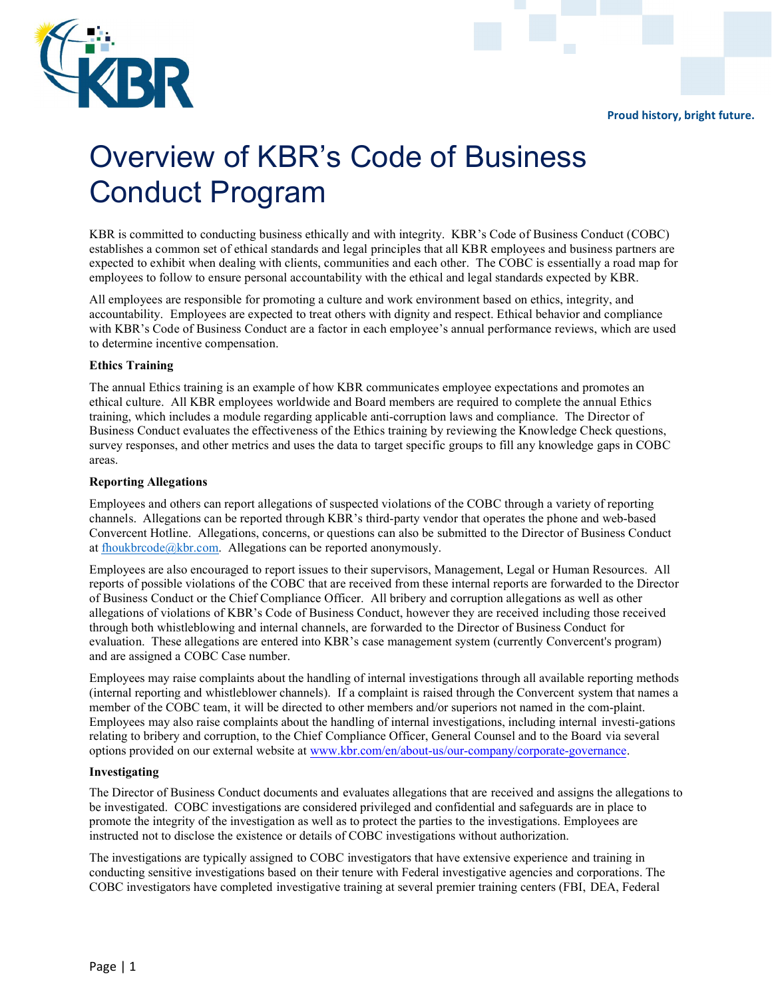Proud history, bright future.



# Overview of KBR's Code of Business Conduct Program

KBR is committed to conducting business ethically and with integrity. KBR's Code of Business Conduct (COBC) establishes a common set of ethical standards and legal principles that all KBR employees and business partners are expected to exhibit when dealing with clients, communities and each other. The COBC is essentially a road map for employees to follow to ensure personal accountability with the ethical and legal standards expected by KBR.

All employees are responsible for promoting a culture and work environment based on ethics, integrity, and accountability. Employees are expected to treat others with dignity and respect. Ethical behavior and compliance with KBR's Code of Business Conduct are a factor in each employee's annual performance reviews, which are used to determine incentive compensation.

## Ethics Training

The annual Ethics training is an example of how KBR communicates employee expectations and promotes an ethical culture. All KBR employees worldwide and Board members are required to complete the annual Ethics training, which includes a module regarding applicable anti-corruption laws and compliance. The Director of Business Conduct evaluates the effectiveness of the Ethics training by reviewing the Knowledge Check questions, survey responses, and other metrics and uses the data to target specific groups to fill any knowledge gaps in COBC areas.

## Reporting Allegations

Employees and others can report allegations of suspected violations of the COBC through a variety of reporting channels. Allegations can be reported through KBR's third-party vendor that operates the phone and web-based Convercent Hotline. Allegations, concerns, or questions can also be submitted to the Director of Business Conduct at fhoukbrcode@kbr.com. Allegations can be reported anonymously.

Employees are also encouraged to report issues to their supervisors, Management, Legal or Human Resources. All reports of possible violations of the COBC that are received from these internal reports are forwarded to the Director of Business Conduct or the Chief Compliance Officer. All bribery and corruption allegations as well as other allegations of violations of KBR's Code of Business Conduct, however they are received including those received through both whistleblowing and internal channels, are forwarded to the Director of Business Conduct for evaluation. These allegations are entered into KBR's case management system (currently Convercent's program) and are assigned a COBC Case number.

Employees may raise complaints about the handling of internal investigations through all available reporting methods (internal reporting and whistleblower channels). If a complaint is raised through the Convercent system that names a member of the COBC team, it will be directed to other members and/or superiors not named in the com-plaint. Employees may also raise complaints about the handling of internal investigations, including internal investi-gations relating to bribery and corruption, to the Chief Compliance Officer, General Counsel and to the Board via several options provided on our external website at www.kbr.com/en/about-us/[our-company/corporate-governance.](www.kbr.com/en/about-us/our-company/corporate-governance)

## Investigating

The Director of Business Conduct documents and evaluates allegations that are received and assigns the allegations to be investigated. COBC investigations are considered privileged and confidential and safeguards are in place to promote the integrity of the investigation as well as to protect the parties to the investigations. Employees are instructed not to disclose the existence or details of COBC investigations without authorization.

The investigations are typically assigned to COBC investigators that have extensive experience and training in conducting sensitive investigations based on their tenure with Federal investigative agencies and corporations. The COBC investigators have completed investigative training at several premier training centers (FBI, DEA, Federal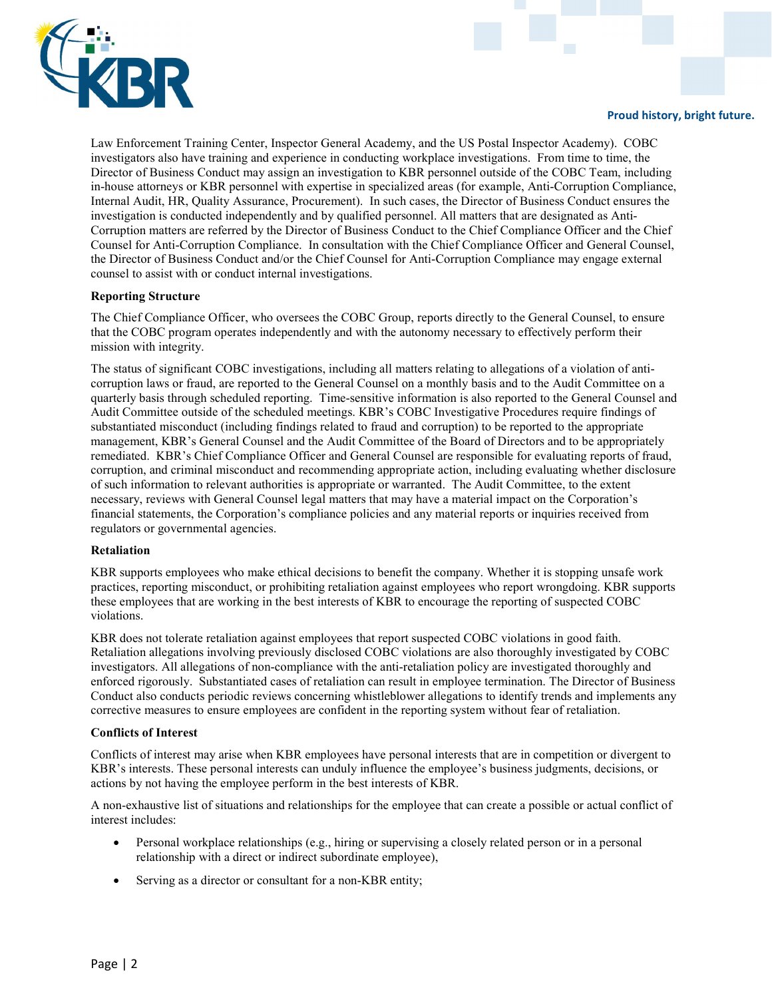

Law Enforcement Training Center, Inspector General Academy, and the US Postal Inspector Academy). COBC investigators also have training and experience in conducting workplace investigations. From time to time, the Director of Business Conduct may assign an investigation to KBR personnel outside of the COBC Team, including in-house attorneys or KBR personnel with expertise in specialized areas (for example, Anti-Corruption Compliance, Internal Audit, HR, Quality Assurance, Procurement). In such cases, the Director of Business Conduct ensures the investigation is conducted independently and by qualified personnel. All matters that are designated as Anti-Corruption matters are referred by the Director of Business Conduct to the Chief Compliance Officer and the Chief Counsel for Anti-Corruption Compliance. In consultation with the Chief Compliance Officer and General Counsel, the Director of Business Conduct and/or the Chief Counsel for Anti-Corruption Compliance may engage external counsel to assist with or conduct internal investigations.

#### Reporting Structure

The Chief Compliance Officer, who oversees the COBC Group, reports directly to the General Counsel, to ensure that the COBC program operates independently and with the autonomy necessary to effectively perform their mission with integrity.

The status of significant COBC investigations, including all matters relating to allegations of a violation of anticorruption laws or fraud, are reported to the General Counsel on a monthly basis and to the Audit Committee on a quarterly basis through scheduled reporting. Time-sensitive information is also reported to the General Counsel and Audit Committee outside of the scheduled meetings. KBR's COBC Investigative Procedures require findings of substantiated misconduct (including findings related to fraud and corruption) to be reported to the appropriate management, KBR's General Counsel and the Audit Committee of the Board of Directors and to be appropriately remediated. KBR's Chief Compliance Officer and General Counsel are responsible for evaluating reports of fraud, corruption, and criminal misconduct and recommending appropriate action, including evaluating whether disclosure of such information to relevant authorities is appropriate or warranted. The Audit Committee, to the extent necessary, reviews with General Counsel legal matters that may have a material impact on the Corporation's financial statements, the Corporation's compliance policies and any material reports or inquiries received from regulators or governmental agencies.

#### Retaliation

KBR supports employees who make ethical decisions to benefit the company. Whether it is stopping unsafe work practices, reporting misconduct, or prohibiting retaliation against employees who report wrongdoing. KBR supports these employees that are working in the best interests of KBR to encourage the reporting of suspected COBC violations.

KBR does not tolerate retaliation against employees that report suspected COBC violations in good faith. Retaliation allegations involving previously disclosed COBC violations are also thoroughly investigated by COBC investigators. All allegations of non-compliance with the anti-retaliation policy are investigated thoroughly and enforced rigorously. Substantiated cases of retaliation can result in employee termination. The Director of Business Conduct also conducts periodic reviews concerning whistleblower allegations to identify trends and implements any corrective measures to ensure employees are confident in the reporting system without fear of retaliation.

#### Conflicts of Interest

Conflicts of interest may arise when KBR employees have personal interests that are in competition or divergent to KBR's interests. These personal interests can unduly influence the employee's business judgments, decisions, or actions by not having the employee perform in the best interests of KBR.

A non-exhaustive list of situations and relationships for the employee that can create a possible or actual conflict of interest includes:

- Personal workplace relationships (e.g., hiring or supervising a closely related person or in a personal relationship with a direct or indirect subordinate employee),
- Serving as a director or consultant for a non-KBR entity;